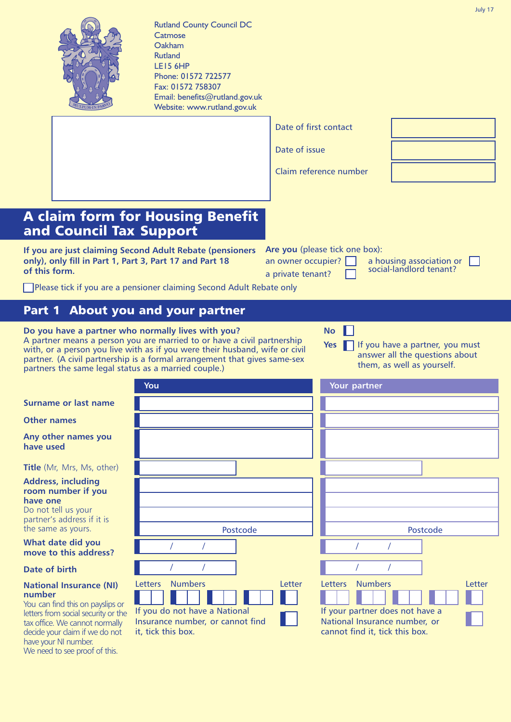

Rutland County Council DC **Catmose** Oakham Rutland LE15 6HP Phone: 01572 722577 Fax: 01572 758307 Email: benefits@rutland.gov.uk Website: www.rutland.gov.uk

|                                                                                                                                                                                                  | Date of first contact                   |                                                |                                                                   |  |
|--------------------------------------------------------------------------------------------------------------------------------------------------------------------------------------------------|-----------------------------------------|------------------------------------------------|-------------------------------------------------------------------|--|
|                                                                                                                                                                                                  | Date of issue                           |                                                |                                                                   |  |
|                                                                                                                                                                                                  |                                         | Claim reference number                         |                                                                   |  |
|                                                                                                                                                                                                  |                                         |                                                |                                                                   |  |
| <b>Housing Benefit</b><br><b>Support</b>                                                                                                                                                         |                                         |                                                |                                                                   |  |
| <b>nd Adult Rebate (pensioners</b><br>3, Part 17 and Part 18                                                                                                                                     | an owner occupier?<br>a private tenant? | Are you (please tick one box):                 | a housing association or [<br>social-landlord tenant?             |  |
| sioner claiming Second Adult Rebate only                                                                                                                                                         |                                         |                                                |                                                                   |  |
| and your partner                                                                                                                                                                                 |                                         |                                                |                                                                   |  |
| normally lives with you?<br>u are married to or have a civil partnership<br>h as if you were their husband, wife or civil<br>a formal arrangement that gives same-sex<br>s as a married couple.) |                                         | <b>No</b><br>Yes<br>them, as well as yourself. | If you have a partner, you must<br>answer all the questions about |  |
| You                                                                                                                                                                                              |                                         | Your partner                                   |                                                                   |  |
|                                                                                                                                                                                                  |                                         |                                                |                                                                   |  |
|                                                                                                                                                                                                  |                                         |                                                |                                                                   |  |
|                                                                                                                                                                                                  |                                         |                                                |                                                                   |  |
|                                                                                                                                                                                                  |                                         |                                                |                                                                   |  |
|                                                                                                                                                                                                  |                                         |                                                |                                                                   |  |
|                                                                                                                                                                                                  |                                         |                                                |                                                                   |  |
| Postcode                                                                                                                                                                                         |                                         |                                                | Postcode                                                          |  |
| 7                                                                                                                                                                                                |                                         |                                                |                                                                   |  |
|                                                                                                                                                                                                  |                                         |                                                |                                                                   |  |

# **A** claim form for **and Council Tax**

**If you are just claiming Seco** only), only fill in Part 1, Part **of this form.**

Please tick if you are a pens

# **Part 1 About you**

**Do** you have a partner who A partner means a person you with, or a person you live with partner. (A civil partnership is partners the same legal status

**Surname or last name**

**Other names** 

**Any other names you have used** 

**Title** (Mr, Mrs, Ms, other)

**Address, including room number if you have one**

Do not tell us your partner's address if it is the same as yours.

**What date did you** move to this address?

## **Date of birth** / /

#### **National Insurance (NI) number**

You can find this on payslips or letters from social security or the tax office. We cannot normally decide your claim if we do not have your NI number. We need to see proof of this.

| Postcode                                                                                | Postcode                                                                                           |
|-----------------------------------------------------------------------------------------|----------------------------------------------------------------------------------------------------|
|                                                                                         |                                                                                                    |
|                                                                                         |                                                                                                    |
| <b>Numbers</b><br>Letters<br>Letter                                                     | <b>Numbers</b><br>Letters<br>Letter                                                                |
|                                                                                         |                                                                                                    |
| If you do not have a National<br>Insurance number, or cannot find<br>it, tick this box. | If your partner does not have a<br>National Insurance number, or<br>cannot find it, tick this box. |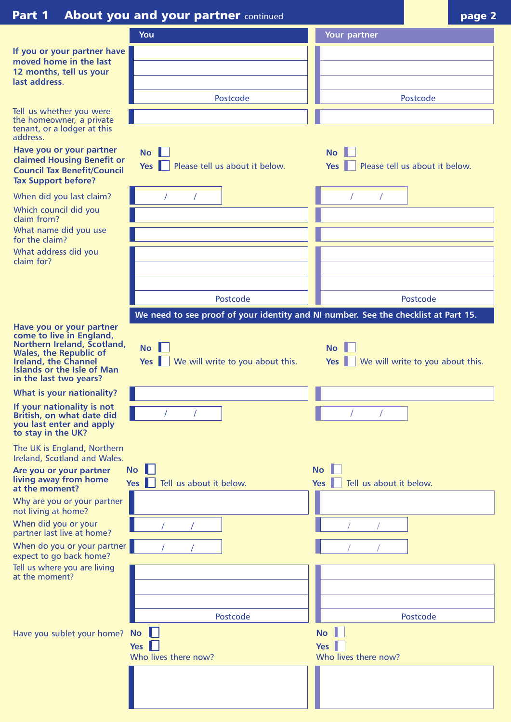# **Part 1 About you and your partner** continued **page 1 page 2**

ш

|                                                                                                                                                                                                                    | <u> 1980 - 1980 - 1980 - 1980 - 1980 - 1980 - 1981 - 1982 - 1982 - 1982 - 1982 - 1982 - 1982 - 1982 - 1982 - 198</u> | r~g~                                                      |
|--------------------------------------------------------------------------------------------------------------------------------------------------------------------------------------------------------------------|----------------------------------------------------------------------------------------------------------------------|-----------------------------------------------------------|
|                                                                                                                                                                                                                    | You                                                                                                                  | Your partner                                              |
| If you or your partner have                                                                                                                                                                                        |                                                                                                                      |                                                           |
| moved home in the last                                                                                                                                                                                             |                                                                                                                      |                                                           |
| 12 months, tell us your<br>last address                                                                                                                                                                            |                                                                                                                      |                                                           |
|                                                                                                                                                                                                                    | Postcode                                                                                                             | Postcode                                                  |
| Tell us whether you were                                                                                                                                                                                           |                                                                                                                      |                                                           |
| the homeowner, a private<br>tenant, or a lodger at this<br>address.                                                                                                                                                |                                                                                                                      |                                                           |
| Have you or your partner<br><b>claimed Housing Benefit or</b><br><b>Council Tax Benefit/Council</b><br><b>Tax Support before?</b>                                                                                  | $\mathsf{No}$<br>Please tell us about it below.<br>Yes $\blacksquare$                                                | <b>No</b><br>Please tell us about it below.<br><b>Yes</b> |
| When did you last claim?                                                                                                                                                                                           |                                                                                                                      |                                                           |
| Which council did you                                                                                                                                                                                              |                                                                                                                      |                                                           |
| claim from?<br>What name did you use                                                                                                                                                                               |                                                                                                                      |                                                           |
| for the claim?                                                                                                                                                                                                     |                                                                                                                      |                                                           |
| What address did you<br>claim for?                                                                                                                                                                                 |                                                                                                                      |                                                           |
|                                                                                                                                                                                                                    |                                                                                                                      |                                                           |
|                                                                                                                                                                                                                    |                                                                                                                      |                                                           |
|                                                                                                                                                                                                                    | Postcode                                                                                                             | Postcode                                                  |
|                                                                                                                                                                                                                    | We need to see proof of your identity and NI number. See the checklist at Part 15.                                   |                                                           |
| Have you or your partner<br>come to live in England,<br>Northern Ireland, Scotland,<br><b>Wales, the Republic of</b><br><b>Ireland, the Channel</b><br><b>Islands or the Isle of Man</b><br>in the last two years? | <b>No</b><br>We will write to you about this.<br>$Yes \nVert \nVert$                                                 | <b>No</b><br>We will write to you about this.<br>Yes      |
| What is your nationality?                                                                                                                                                                                          |                                                                                                                      |                                                           |
| If your nationality is not<br>British, on what date did<br>you last enter and apply<br>to stay in the UK?                                                                                                          |                                                                                                                      |                                                           |
| The UK is England, Northern<br>Ireland, Scotland and Wales.                                                                                                                                                        |                                                                                                                      |                                                           |
| Are you or your partner<br>living away from home<br>at the moment?                                                                                                                                                 | <b>No</b><br>Tell us about it below.<br><b>Yes</b>                                                                   | <b>No</b><br>Tell us about it below.<br><b>Yes</b>        |
| Why are you or your partner<br>not living at home?                                                                                                                                                                 |                                                                                                                      |                                                           |
| When did you or your<br>partner last live at home?                                                                                                                                                                 |                                                                                                                      |                                                           |
| When do you or your partner<br>expect to go back home?                                                                                                                                                             |                                                                                                                      |                                                           |
| Tell us where you are living<br>at the moment?                                                                                                                                                                     |                                                                                                                      |                                                           |
|                                                                                                                                                                                                                    |                                                                                                                      |                                                           |
|                                                                                                                                                                                                                    |                                                                                                                      |                                                           |
|                                                                                                                                                                                                                    | Postcode                                                                                                             | Postcode                                                  |
| Have you sublet your home?                                                                                                                                                                                         | <b>No</b>                                                                                                            | <b>No</b>                                                 |
|                                                                                                                                                                                                                    | Yes                                                                                                                  | Yes                                                       |
|                                                                                                                                                                                                                    | Who lives there now?                                                                                                 | Who lives there now?                                      |
|                                                                                                                                                                                                                    |                                                                                                                      |                                                           |
|                                                                                                                                                                                                                    |                                                                                                                      |                                                           |

I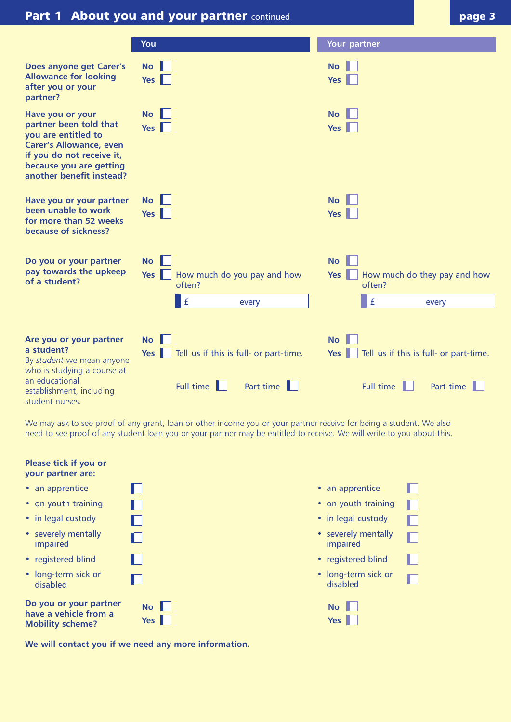# **Part 1 About you and your partner** continued **page 1 page 3**

|                                                                                                                                                                                         | You                                                                                  | Your partner                                                                                            |
|-----------------------------------------------------------------------------------------------------------------------------------------------------------------------------------------|--------------------------------------------------------------------------------------|---------------------------------------------------------------------------------------------------------|
| Does anyone get Carer's<br><b>Allowance for looking</b><br>after you or your<br>partner?                                                                                                | <b>No</b><br>Yes                                                                     | <b>No</b><br>Yes                                                                                        |
| Have you or your<br>partner been told that<br>you are entitled to<br><b>Carer's Allowance, even</b><br>if you do not receive it,<br>because you are getting<br>another benefit instead? | <b>No</b><br>Yes                                                                     | <b>No</b><br>Yes                                                                                        |
| Have you or your partner<br>been unable to work<br>for more than 52 weeks<br>because of sickness?                                                                                       | <b>No</b><br>Yes I                                                                   | <b>No</b><br>Yes                                                                                        |
| Do you or your partner<br>pay towards the upkeep<br>of a student?                                                                                                                       | <b>No</b><br>How much do you pay and how<br>Yes<br>often?<br>$\mathbf f$<br>every    | <b>No</b><br>Yes<br>How much do they pay and how<br>often?<br>$\mathbf f$<br>every                      |
| Are you or your partner<br>a student?<br>By student we mean anyone<br>who is studying a course at<br>an educational<br>establishment, including<br>student nurses.                      | <b>No</b><br>Tell us if this is full- or part-time.<br>Yes<br>Full-time<br>Part-time | <b>No</b><br>Tell us if this is full- or part-time.<br>$Yes \parallel$<br>Part-time<br><b>Full-time</b> |

We may ask to see proof of any grant, loan or other income you or your partner receive for being a student. We also need to see proof of any student loan you or your partner may be entitled to receive. We will write to you about this.

| Please tick if you or<br>your partner are:                                 |                                      |                                 |  |
|----------------------------------------------------------------------------|--------------------------------------|---------------------------------|--|
| • an apprentice                                                            | H.                                   | • an apprentice                 |  |
| • on youth training                                                        | Ш                                    | • on youth training             |  |
| • in legal custody                                                         |                                      | • in legal custody              |  |
| • severely mentally<br>impaired                                            | Ш                                    | • severely mentally<br>impaired |  |
| • registered blind                                                         |                                      | • registered blind              |  |
| • long-term sick or<br>disabled                                            |                                      | • long-term sick or<br>disabled |  |
| Do you or your partner<br>have a vehicle from a<br><b>Mobility scheme?</b> | $\mathsf{No}$    <br>Yes $\ \cdot\ $ | <b>No</b><br>$Yes \parallel$    |  |

**We will contact you if we need any more information.**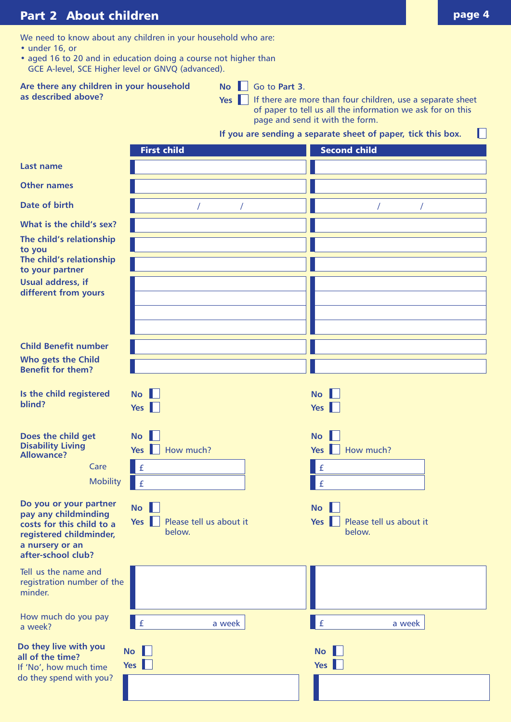# **Part 2 About children page 4 page 4**

We need to know about any children in your household who are:

- under 16, or
- aged 16 to 20 and in education doing a course not higher than GCE A-level, SCE Higher level or GNVQ (advanced).

**Are there any children in your household as described above?**

 $\mathsf{No} \ \ \blacksquare$  Go to **Part 3**.

**Yes** If there are more than four children, use a separate sheet of paper to tell us all the information we ask for on this page and send it with the form.

### **If you are sending a separate sheet of paper, tick this box.**

|                                                                                                                                                 | <b>First child</b>                                         | <b>Second child</b>                         |
|-------------------------------------------------------------------------------------------------------------------------------------------------|------------------------------------------------------------|---------------------------------------------|
| Last name                                                                                                                                       |                                                            |                                             |
| <b>Other names</b>                                                                                                                              |                                                            |                                             |
| Date of birth                                                                                                                                   |                                                            |                                             |
| What is the child's sex?<br>The child's relationship<br>to you                                                                                  |                                                            |                                             |
| The child's relationship<br>to your partner                                                                                                     |                                                            |                                             |
| Usual address, if<br>different from yours                                                                                                       |                                                            |                                             |
|                                                                                                                                                 |                                                            |                                             |
| <b>Child Benefit number</b>                                                                                                                     |                                                            |                                             |
| Who gets the Child<br><b>Benefit for them?</b>                                                                                                  |                                                            |                                             |
| Is the child registered<br>blind?                                                                                                               | <b>No</b><br>$Yes \parallel$                               | $\mathsf{No}$<br>Yes                        |
| Does the child get<br><b>Disability Living</b><br><b>Allowance?</b>                                                                             | <b>No</b><br>How much?<br>$Yes$                            | <b>No</b><br>Yes     How much?              |
| Care                                                                                                                                            | $\mathbf f$                                                | $\mathsf{E}$                                |
| <b>Mobility</b>                                                                                                                                 | $\mathbf f$                                                | $\mathbf f$                                 |
| Do you or your partner<br>pay any childminding<br>costs for this child to a<br>registered childminder,<br>a nursery or an<br>after-school club? | <b>No</b><br>Yes $\ $<br>Please tell us about it<br>below. | No<br>Yes Please tell us about it<br>below. |
| Tell us the name and<br>registration number of the<br>minder.                                                                                   |                                                            |                                             |
| How much do you pay<br>a week?                                                                                                                  | $\mathbf{f}$<br>a week                                     | £<br>a week                                 |
| Do they live with you<br>all of the time?<br>If 'No', how much time                                                                             | No<br>Yes $\ \ $                                           | <b>No</b><br>Yes                            |
| do they spend with you?                                                                                                                         |                                                            |                                             |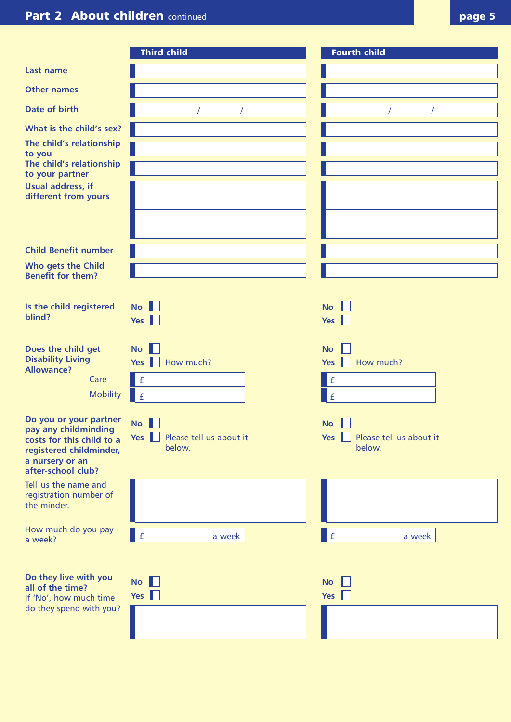|                                                                                                                                                            | <b>Third child</b>                                     | <b>Fourth child</b>                                   |
|------------------------------------------------------------------------------------------------------------------------------------------------------------|--------------------------------------------------------|-------------------------------------------------------|
| Last name                                                                                                                                                  |                                                        |                                                       |
| <b>Other names</b>                                                                                                                                         |                                                        |                                                       |
| Date of birth                                                                                                                                              |                                                        |                                                       |
| What is the child's sex?<br>The child's relationship<br>to you<br>The child's relationship<br>to your partner<br>Usual address, if<br>different from yours |                                                        |                                                       |
| <b>Child Benefit number</b>                                                                                                                                |                                                        |                                                       |
| Who gets the Child<br><b>Benefit for them?</b>                                                                                                             |                                                        |                                                       |
| Is the child registered<br>blind?                                                                                                                          | $\mathsf{No}$<br>Yes $\ \ $                            | $\mathsf{No}$   <br>Yes                               |
| Does the child get<br><b>Disability Living</b><br><b>Allowance?</b><br>Care<br><b>Mobility</b>                                                             | <b>No</b><br>How much?<br>Yes $\ \ $<br>l £<br>f       | <b>No</b><br>How much?<br>Yes  <br> f <br>$\mathbf f$ |
| Do you or your partner<br>pay any childminding<br>costs for this child to a<br>registered childminder,<br>a nursery or an<br>after-school club?            | $\mathsf{No}$<br>Yes Please tell us about it<br>below. | No<br>Yes Please tell us about it<br>below.           |
| Tell us the name and<br>registration number of<br>the minder.                                                                                              |                                                        |                                                       |
| How much do you pay<br>a week?                                                                                                                             | £<br>a week                                            | $\mathbf{f}$<br>a week                                |
| Do they live with you<br>all of the time?<br>If 'No', how much time<br>do they spend with you?                                                             | $\mathsf{No}$<br>Yes $\Box$                            | $\mathsf{No}$<br>Yes                                  |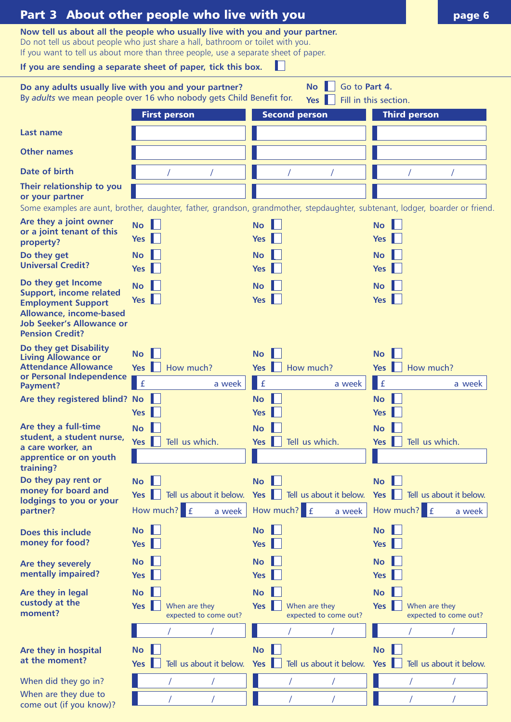|                                                                                                                                                                                                                                                                                                                        | Part 3 About other people who live with you                                                                                  |                                                                                           | page 6                                                                                                                        |
|------------------------------------------------------------------------------------------------------------------------------------------------------------------------------------------------------------------------------------------------------------------------------------------------------------------------|------------------------------------------------------------------------------------------------------------------------------|-------------------------------------------------------------------------------------------|-------------------------------------------------------------------------------------------------------------------------------|
| Now tell us about all the people who usually live with you and your partner.<br>Do not tell us about people who just share a hall, bathroom or toilet with you.<br>If you want to tell us about more than three people, use a separate sheet of paper.<br>If you are sending a separate sheet of paper, tick this box. |                                                                                                                              |                                                                                           |                                                                                                                               |
|                                                                                                                                                                                                                                                                                                                        |                                                                                                                              | Go to Part 4.<br><b>No</b>                                                                |                                                                                                                               |
|                                                                                                                                                                                                                                                                                                                        | Do any adults usually live with you and your partner?<br>By adults we mean people over 16 who nobody gets Child Benefit for. | <b>Yes</b>                                                                                | Fill in this section.                                                                                                         |
|                                                                                                                                                                                                                                                                                                                        | <b>First person</b>                                                                                                          | <b>Second person</b>                                                                      | <b>Third person</b>                                                                                                           |
| Last name                                                                                                                                                                                                                                                                                                              |                                                                                                                              |                                                                                           |                                                                                                                               |
| <b>Other names</b>                                                                                                                                                                                                                                                                                                     |                                                                                                                              |                                                                                           |                                                                                                                               |
| Date of birth                                                                                                                                                                                                                                                                                                          |                                                                                                                              |                                                                                           |                                                                                                                               |
| Their relationship to you<br>or your partner                                                                                                                                                                                                                                                                           |                                                                                                                              |                                                                                           | Some examples are aunt, brother, daughter, father, grandson, grandmother, stepdaughter, subtenant, lodger, boarder or friend. |
| Are they a joint owner<br>or a joint tenant of this<br>property?                                                                                                                                                                                                                                                       | <b>No</b><br>Yes                                                                                                             | <b>No</b><br><b>Yes</b>                                                                   | <b>No</b><br><b>Yes</b>                                                                                                       |
| Do they get<br><b>Universal Credit?</b>                                                                                                                                                                                                                                                                                | <b>No</b><br><b>Yes</b>                                                                                                      | <b>No</b><br><b>Yes</b>                                                                   | <b>No</b><br><b>Yes</b>                                                                                                       |
| Do they get Income<br><b>Support, income related</b><br><b>Employment Support</b><br>Allowance, income-based<br><b>Job Seeker's Allowance or</b><br><b>Pension Credit?</b>                                                                                                                                             | <b>No</b><br>Yes                                                                                                             | <b>No</b><br>$Yes \parallel$                                                              | <b>No</b><br><b>Yes</b>                                                                                                       |
| Do they get Disability<br><b>Living Allowance or</b><br><b>Attendance Allowance</b><br>or Personal Independence<br>Payment?                                                                                                                                                                                            | <b>No</b><br>Yes<br>How much?<br>f<br>a week                                                                                 | <b>No</b><br>How much?<br><b>Yes</b><br>$\mathbf f$<br>a week                             | <b>No</b><br>How much?<br><b>Yes</b><br>$\pmb{\mathrm{f}}$<br>a week                                                          |
| Are they registered blind? No                                                                                                                                                                                                                                                                                          | <b>Yes</b>                                                                                                                   | <b>No</b><br><b>Yes</b>                                                                   | <b>No</b><br><b>Yes</b>                                                                                                       |
| Are they a full-time<br>student, a student nurse,<br>a care worker, an<br>apprentice or on youth<br>training?                                                                                                                                                                                                          | <b>No</b><br>Yes  <br>Tell us which.                                                                                         | <b>No</b><br>Tell us which.<br>Yes                                                        | <b>No</b><br>Tell us which.<br>Yes                                                                                            |
| Do they pay rent or<br>money for board and<br>lodgings to you or your<br>partner?                                                                                                                                                                                                                                      | <b>No</b><br>$Yes \parallel$<br>Tell us about it below.<br>How much?<br>$\mathbf{f}$<br>a week                               | <b>No</b><br>Tell us about it below.<br>Yes $\ \ $<br>$\mathbf{f}$<br>How much?<br>a week | <b>No</b><br>Yes<br>Tell us about it below.<br>How much?<br>$\mathbf{f}$<br>a week                                            |
| Does this include<br>money for food?                                                                                                                                                                                                                                                                                   | <b>No</b><br><b>Yes</b>                                                                                                      | <b>No</b><br><b>Yes</b>                                                                   | <b>No</b><br><b>Yes</b>                                                                                                       |
| Are they severely<br>mentally impaired?                                                                                                                                                                                                                                                                                | <b>No</b><br><b>Yes</b>                                                                                                      | <b>No</b><br><b>Yes</b>                                                                   | <b>No</b><br><b>Yes</b>                                                                                                       |
| Are they in legal<br>custody at the<br>moment?                                                                                                                                                                                                                                                                         | <b>No</b><br>When are they<br>Yes  <br>expected to come out?                                                                 | <b>No</b><br>When are they<br>Yes $\ $<br>expected to come out?                           | <b>No</b><br>When are they<br>Yes<br>expected to come out?                                                                    |
|                                                                                                                                                                                                                                                                                                                        |                                                                                                                              |                                                                                           |                                                                                                                               |
| Are they in hospital<br>at the moment?                                                                                                                                                                                                                                                                                 | <b>No</b><br>Tell us about it below.<br><b>Yes</b>                                                                           | <b>No</b><br>Tell us about it below.<br>Yes                                               | <b>No</b><br>Tell us about it below.<br><b>Yes</b>                                                                            |
| When did they go in?                                                                                                                                                                                                                                                                                                   |                                                                                                                              |                                                                                           |                                                                                                                               |
| When are they due to<br>come out (if you know)?                                                                                                                                                                                                                                                                        |                                                                                                                              |                                                                                           |                                                                                                                               |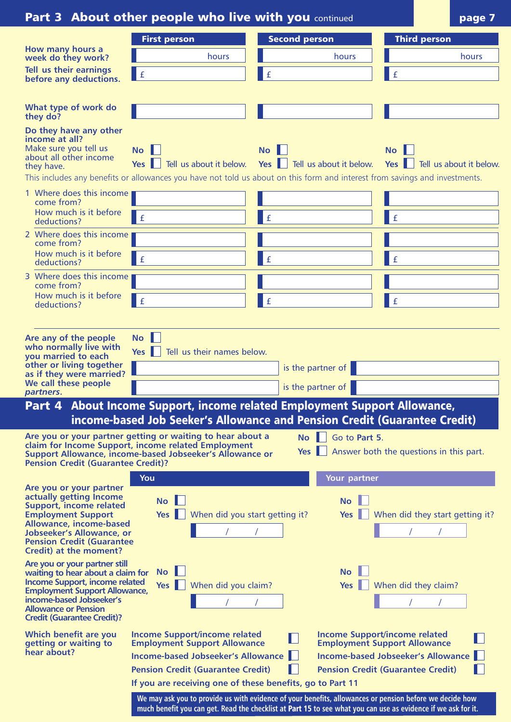|                                                                                                                                                                                                                                              | <b>Part 3 About other people who live with you continued</b>                                                                                                                  |                                                                                                                                                                                                                          | page 7                                                                      |
|----------------------------------------------------------------------------------------------------------------------------------------------------------------------------------------------------------------------------------------------|-------------------------------------------------------------------------------------------------------------------------------------------------------------------------------|--------------------------------------------------------------------------------------------------------------------------------------------------------------------------------------------------------------------------|-----------------------------------------------------------------------------|
|                                                                                                                                                                                                                                              | <b>First person</b>                                                                                                                                                           | <b>Second person</b>                                                                                                                                                                                                     | <b>Third person</b>                                                         |
| How many hours a<br>week do they work?                                                                                                                                                                                                       | hours                                                                                                                                                                         | hours                                                                                                                                                                                                                    | hours                                                                       |
| Tell us their earnings<br>before any deductions.                                                                                                                                                                                             | $\pmb{\mathrm{f}}$                                                                                                                                                            | l £                                                                                                                                                                                                                      | $\mathbf f$                                                                 |
|                                                                                                                                                                                                                                              |                                                                                                                                                                               |                                                                                                                                                                                                                          |                                                                             |
| What type of work do<br>they do?                                                                                                                                                                                                             |                                                                                                                                                                               |                                                                                                                                                                                                                          |                                                                             |
| Do they have any other<br>income at all?<br>Make sure you tell us<br>about all other income<br>they have.                                                                                                                                    | <b>No</b><br>Tell us about it below. Yes<br>Yes I                                                                                                                             | <b>No</b><br>Tell us about it below.<br>This includes any benefits or allowances you have not told us about on this form and interest from savings and investments.                                                      | $\mathsf{No}$<br>Tell us about it below.<br>Yes II                          |
| 1 Where does this income                                                                                                                                                                                                                     |                                                                                                                                                                               |                                                                                                                                                                                                                          |                                                                             |
| come from?<br>How much is it before                                                                                                                                                                                                          | $\mathbf f$                                                                                                                                                                   | l £                                                                                                                                                                                                                      | l £                                                                         |
| deductions?<br>2 Where does this income                                                                                                                                                                                                      |                                                                                                                                                                               |                                                                                                                                                                                                                          |                                                                             |
| come from?<br>How much is it before                                                                                                                                                                                                          |                                                                                                                                                                               |                                                                                                                                                                                                                          |                                                                             |
| deductions?                                                                                                                                                                                                                                  | $\pounds$                                                                                                                                                                     | l £                                                                                                                                                                                                                      | l £                                                                         |
| 3 Where does this income<br>come from?                                                                                                                                                                                                       |                                                                                                                                                                               |                                                                                                                                                                                                                          |                                                                             |
| How much is it before<br>deductions?                                                                                                                                                                                                         | $\pmb{\mathtt{f}}$                                                                                                                                                            | l £                                                                                                                                                                                                                      | $\mathbf f$                                                                 |
|                                                                                                                                                                                                                                              |                                                                                                                                                                               |                                                                                                                                                                                                                          |                                                                             |
| Are any of the people<br>who normally live with<br>you married to each<br>other or living together<br>as if they were married?<br>We call these people<br>partners.                                                                          | $\mathsf{No}$<br>Yes $  $<br>Tell us their names below.                                                                                                                       | is the partner of<br>is the partner of                                                                                                                                                                                   |                                                                             |
| Part 4                                                                                                                                                                                                                                       |                                                                                                                                                                               | About Income Support, income related Employment Support Allowance,                                                                                                                                                       |                                                                             |
|                                                                                                                                                                                                                                              |                                                                                                                                                                               | income-based Job Seeker's Allowance and Pension Credit (Guarantee Credit)                                                                                                                                                |                                                                             |
| <b>Pension Credit (Guarantee Credit)?</b>                                                                                                                                                                                                    | Are you or your partner getting or waiting to hear about a<br>claim for Income Support, income related Employment<br>Support Allowance, income-based Jobseeker's Allowance or | Go to Part 5.<br><b>No</b><br>Yes                                                                                                                                                                                        | Answer both the questions in this part.                                     |
| Are you or your partner                                                                                                                                                                                                                      | You                                                                                                                                                                           | Your partner                                                                                                                                                                                                             |                                                                             |
| actually getting Income<br>Support, income related<br><b>Employment Support</b><br>Allowance, income-based<br><b>Jobseeker's Allowance, or</b><br><b>Pension Credit (Guarantee</b><br>Credit) at the moment?                                 | <b>No</b><br>Yes $\blacksquare$<br>When did you start getting it?                                                                                                             | <b>No</b><br>Yes                                                                                                                                                                                                         | When did they start getting it?                                             |
| Are you or your partner still<br>waiting to hear about a claim for<br>Income Support, income related<br><b>Employment Support Allowance,</b><br>income-based Jobseeker's<br><b>Allowance or Pension</b><br><b>Credit (Guarantee Credit)?</b> | <b>No</b><br>Yes $\ \ $<br>When did you claim?                                                                                                                                | <b>No</b><br>Yes                                                                                                                                                                                                         | When did they claim?                                                        |
| Which benefit are you<br>getting or waiting to                                                                                                                                                                                               | <b>Income Support/income related</b><br><b>Employment Support Allowance</b>                                                                                                   |                                                                                                                                                                                                                          | <b>Income Support/income related</b><br><b>Employment Support Allowance</b> |
| hear about?                                                                                                                                                                                                                                  | <b>Income-based Jobseeker's Allowance</b>                                                                                                                                     |                                                                                                                                                                                                                          | <b>Income-based Jobseeker's Allowance</b>                                   |
|                                                                                                                                                                                                                                              | <b>Pension Credit (Guarantee Credit)</b>                                                                                                                                      |                                                                                                                                                                                                                          | <b>Pension Credit (Guarantee Credit)</b>                                    |
|                                                                                                                                                                                                                                              | If you are receiving one of these benefits, go to Part 11                                                                                                                     |                                                                                                                                                                                                                          |                                                                             |
|                                                                                                                                                                                                                                              |                                                                                                                                                                               | We may ask you to provide us with evidence of your benefits, allowances or pension before we decide how<br>much benefit you can get. Read the checklist at Part 15 to see what you can use as evidence if we ask for it. |                                                                             |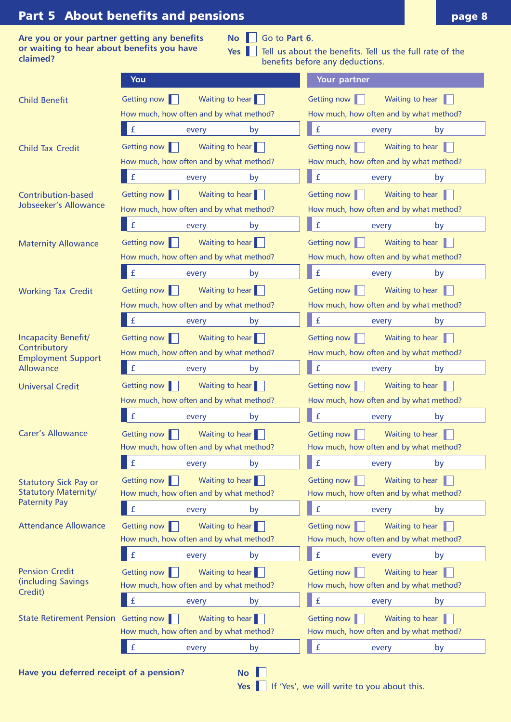# **Part 5 About benefits and pensions**

|          | Are you or your partner getting any benefits |  |  |
|----------|----------------------------------------------|--|--|
|          | or waiting to hear about benefits you have   |  |  |
| claimed? |                                              |  |  |

| No Go to Part 6 |
|-----------------|
|-----------------|

Yes **T** Tell us about the benefits. Tell us the full rate of the benefits before any deductions.

| You                                                  |                                                                           | Your partner                                                              |  |  |
|------------------------------------------------------|---------------------------------------------------------------------------|---------------------------------------------------------------------------|--|--|
| <b>Child Benefit</b>                                 | Waiting to hear<br>Getting now                                            | Waiting to hear<br>Getting now                                            |  |  |
|                                                      | How much, how often and by what method?                                   | How much, how often and by what method?                                   |  |  |
|                                                      | $\mathbf{f}$<br>by<br>every                                               | $\pounds$<br>by<br>every                                                  |  |  |
| <b>Child Tax Credit</b>                              | Waiting to hear<br>Getting now                                            | Getting now<br>Waiting to hear                                            |  |  |
|                                                      | How much, how often and by what method?                                   | How much, how often and by what method?                                   |  |  |
|                                                      | $\mathbf f$<br>by<br>every                                                | $\pmb{\mathtt{f}}$<br>by<br>every                                         |  |  |
| Contribution-based                                   | Getting now<br>Waiting to hear                                            | Getting now<br>Waiting to hear                                            |  |  |
| <b>Jobseeker's Allowance</b>                         | How much, how often and by what method?                                   | How much, how often and by what method?                                   |  |  |
|                                                      | $\mathbf f$<br>by<br>every                                                | $\pmb{\mathrm{f}}$<br>by<br>every                                         |  |  |
| <b>Maternity Allowance</b>                           | Getting now   <br>Waiting to hear                                         | Getting now<br>Waiting to hear                                            |  |  |
|                                                      | How much, how often and by what method?                                   | How much, how often and by what method?                                   |  |  |
|                                                      | f<br>by<br>every                                                          | $\mathbf f$<br>every<br>by                                                |  |  |
| <b>Working Tax Credit</b>                            | Waiting to hear<br>Getting now                                            | Getting now<br>Waiting to hear                                            |  |  |
|                                                      | How much, how often and by what method?                                   | How much, how often and by what method?                                   |  |  |
|                                                      | f<br>by<br>every                                                          | $\pounds$<br>by<br>every                                                  |  |  |
| Incapacity Benefit/                                  | Waiting to hear<br>Getting now                                            | Getting now<br>Waiting to hear                                            |  |  |
| Contributory<br><b>Employment Support</b>            | How much, how often and by what method?                                   | How much, how often and by what method?                                   |  |  |
| <b>Allowance</b>                                     | $\pmb{\mathrm{f}}$<br>by<br>every                                         | $\pmb{\mathtt{f}}$<br>every<br>by                                         |  |  |
| <b>Universal Credit</b>                              | Getting now<br>Waiting to hear                                            | Waiting to hear<br>Getting now                                            |  |  |
|                                                      | How much, how often and by what method?                                   | How much, how often and by what method?                                   |  |  |
|                                                      | $\mathbf f$<br>by<br>every                                                | $\mathbf f$<br>by<br>every                                                |  |  |
| <b>Carer's Allowance</b>                             | Getting now<br>Waiting to hear<br>H                                       | Getting now<br>Waiting to hear                                            |  |  |
|                                                      | How much, how often and by what method?                                   | How much, how often and by what method?                                   |  |  |
|                                                      | £<br>by<br>every                                                          | £<br>by<br>every                                                          |  |  |
| <b>Statutory Sick Pay or</b>                         | Getting now<br>Waiting to hear                                            | Waiting to hear<br>Getting now                                            |  |  |
| <b>Statutory Maternity/</b><br><b>Paternity Pay</b>  | How much, how often and by what method?                                   | How much, how often and by what method?                                   |  |  |
|                                                      | $\mathbf f$<br>every<br>by                                                | $\pmb{\mathrm{f}}$<br>every<br>by                                         |  |  |
| <b>Attendance Allowance</b>                          | Getting now<br>Waiting to hear                                            | Waiting to hear<br>Getting now                                            |  |  |
|                                                      | How much, how often and by what method?                                   | How much, how often and by what method?                                   |  |  |
|                                                      | $\mathbf f$<br>by<br>every                                                | $\pounds$<br>by<br>every                                                  |  |  |
| <b>Pension Credit</b><br>(including Savings          | Getting now<br>Waiting to hear<br>How much, how often and by what method? | Getting now<br>Waiting to hear<br>How much, how often and by what method? |  |  |
| Credit)                                              | $\mathbf f$                                                               | $\pmb{\mathrm{f}}$                                                        |  |  |
|                                                      | by<br>every                                                               | every<br>by                                                               |  |  |
| State Retirement Pension Getting now                 | Waiting to hear<br>How much, how often and by what method?                | Getting now<br>Waiting to hear<br>How much, how often and by what method? |  |  |
|                                                      | £<br>by<br>every                                                          | $\pmb{\mathrm{f}}$<br>by<br>every                                         |  |  |
|                                                      |                                                                           |                                                                           |  |  |
| Have you deferred receipt of a pension?<br><b>No</b> |                                                                           |                                                                           |  |  |
|                                                      | <b>Yes</b>                                                                | If 'Yes', we will write to you about this.                                |  |  |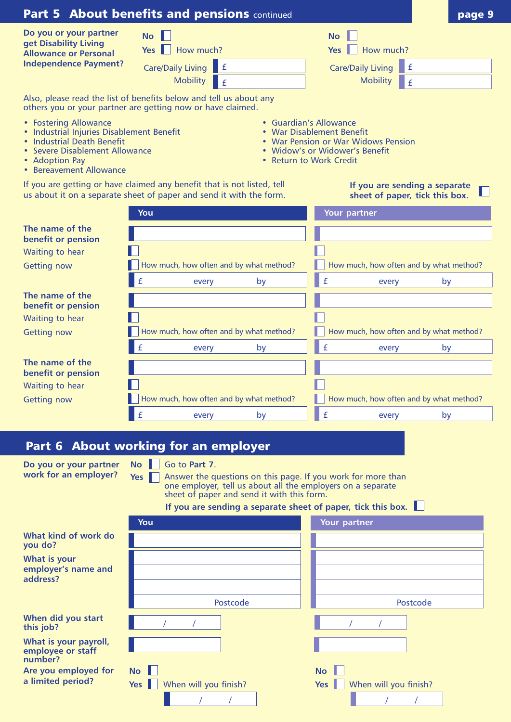|                                                                                                                                                                                 | Part 5 About benefits and pensions continued                                                                                                   |                                                                                                                                                                                             | page 9   |
|---------------------------------------------------------------------------------------------------------------------------------------------------------------------------------|------------------------------------------------------------------------------------------------------------------------------------------------|---------------------------------------------------------------------------------------------------------------------------------------------------------------------------------------------|----------|
| Do you or your partner<br>get Disability Living<br><b>Allowance or Personal</b><br><b>Independence Payment?</b>                                                                 | <b>No</b><br>Yes     How much?<br>l £<br><b>Care/Daily Living</b><br><b>Mobility</b><br>$\mathbf f$                                            | <b>No</b><br>How much?<br>Yes<br>$\mathbf f$<br><b>Care/Daily Living</b><br><b>Mobility</b><br>$\mathbf f$                                                                                  |          |
|                                                                                                                                                                                 | Also, please read the list of benefits below and tell us about any<br>others you or your partner are getting now or have claimed.              |                                                                                                                                                                                             |          |
| • Fostering Allowance<br>• Industrial Injuries Disablement Benefit<br>• Industrial Death Benefit<br>• Severe Disablement Allowance<br>• Adoption Pay<br>• Bereavement Allowance |                                                                                                                                                | • Guardian's Allowance<br>• War Disablement Benefit<br>• War Pension or War Widows Pension<br>• Widow's or Widower's Benefit<br>• Return to Work Credit                                     |          |
|                                                                                                                                                                                 | If you are getting or have claimed any benefit that is not listed, tell<br>us about it on a separate sheet of paper and send it with the form. | If you are sending a separate<br>sheet of paper, tick this box.                                                                                                                             |          |
|                                                                                                                                                                                 | You                                                                                                                                            | Your partner                                                                                                                                                                                |          |
| The name of the<br>benefit or pension<br>Waiting to hear<br><b>Getting now</b>                                                                                                  | How much, how often and by what method?                                                                                                        | How much, how often and by what method?                                                                                                                                                     |          |
|                                                                                                                                                                                 | £<br>every<br>by                                                                                                                               | $\mathbf{f}$<br>every                                                                                                                                                                       | by       |
| The name of the<br>benefit or pension<br>Waiting to hear                                                                                                                        | How much, how often and by what method?                                                                                                        | How much, how often and by what method?                                                                                                                                                     |          |
| <b>Getting now</b>                                                                                                                                                              | £<br>by<br>every                                                                                                                               | $\mathbf f$<br>every                                                                                                                                                                        | by       |
| The name of the                                                                                                                                                                 |                                                                                                                                                |                                                                                                                                                                                             |          |
| benefit or pension                                                                                                                                                              |                                                                                                                                                |                                                                                                                                                                                             |          |
| Waiting to hear                                                                                                                                                                 |                                                                                                                                                |                                                                                                                                                                                             |          |
| <b>Getting now</b>                                                                                                                                                              | How much, how often and by what method?<br>£                                                                                                   | How much, how often and by what method?<br>$\mathbf f$                                                                                                                                      |          |
|                                                                                                                                                                                 | by<br>every                                                                                                                                    | every                                                                                                                                                                                       | by       |
|                                                                                                                                                                                 | Part 6 About working for an employer                                                                                                           |                                                                                                                                                                                             |          |
| Do you or your partner<br>work for an employer?                                                                                                                                 | Go to Part 7.<br><b>No</b><br>Yes I<br>sheet of paper and send it with this form.                                                              | Answer the questions on this page. If you work for more than<br>one employer, tell us about all the employers on a separate<br>If you are sending a separate sheet of paper, tick this box. |          |
|                                                                                                                                                                                 | You                                                                                                                                            | Your partner                                                                                                                                                                                |          |
| What kind of work do<br>you do?                                                                                                                                                 |                                                                                                                                                |                                                                                                                                                                                             |          |
| What is your<br>employer's name and<br>address?                                                                                                                                 | Postcode                                                                                                                                       |                                                                                                                                                                                             | Postcode |
| When did you start<br>this job?                                                                                                                                                 |                                                                                                                                                |                                                                                                                                                                                             |          |
| What is your payroll,<br>employee or staff<br>number?                                                                                                                           |                                                                                                                                                |                                                                                                                                                                                             |          |
| Are you employed for                                                                                                                                                            | <b>No</b>                                                                                                                                      | <b>No</b>                                                                                                                                                                                   |          |

**Yes** When will you finish?

/ / / /

| Are you employed for |  |  |
|----------------------|--|--|
| a limited period?    |  |  |

**Yes** When will you finish?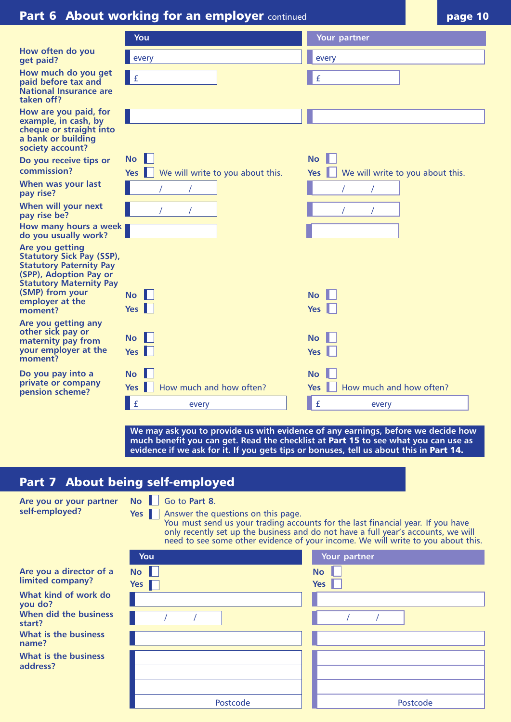# **Part 6 About working for an employer** continued **page 10** page 10

|                                                                                                                                                                                                    | You                                                                                                                                                                          | Your partner                                                                                                                                                                                                                                                             |
|----------------------------------------------------------------------------------------------------------------------------------------------------------------------------------------------------|------------------------------------------------------------------------------------------------------------------------------------------------------------------------------|--------------------------------------------------------------------------------------------------------------------------------------------------------------------------------------------------------------------------------------------------------------------------|
| How often do you<br>get paid?                                                                                                                                                                      | every                                                                                                                                                                        | every                                                                                                                                                                                                                                                                    |
| How much do you get<br>paid before tax and<br><b>National Insurance are</b><br>taken off?                                                                                                          | $\pmb{\mathrm{f}}$                                                                                                                                                           | $\pmb{\mathsf{f}}$                                                                                                                                                                                                                                                       |
| How are you paid, for<br>example, in cash, by<br>cheque or straight into<br>a bank or building<br>society account?                                                                                 |                                                                                                                                                                              |                                                                                                                                                                                                                                                                          |
| Do you receive tips or<br>commission?                                                                                                                                                              | <b>No</b><br><b>Yes</b><br>We will write to you about this.                                                                                                                  | <b>No</b><br>$Yes \parallel$<br>We will write to you about this.                                                                                                                                                                                                         |
| When was your last<br>pay rise?                                                                                                                                                                    |                                                                                                                                                                              |                                                                                                                                                                                                                                                                          |
| When will your next<br>pay rise be?                                                                                                                                                                |                                                                                                                                                                              |                                                                                                                                                                                                                                                                          |
| How many hours a week<br>do you usually work?                                                                                                                                                      |                                                                                                                                                                              |                                                                                                                                                                                                                                                                          |
| Are you getting<br><b>Statutory Sick Pay (SSP),</b><br><b>Statutory Paternity Pay</b><br>(SPP), Adoption Pay or<br><b>Statutory Maternity Pay</b><br>(SMP) from your<br>employer at the<br>moment? | <b>No</b><br><b>Yes</b>                                                                                                                                                      | <b>No</b><br><b>Yes</b>                                                                                                                                                                                                                                                  |
| Are you getting any<br>other sick pay or<br>maternity pay from<br>your employer at the<br>moment?                                                                                                  | <b>No</b><br><b>Yes</b>                                                                                                                                                      | No<br><b>Yes</b>                                                                                                                                                                                                                                                         |
| Do you pay into a<br>private or company<br>pension scheme?                                                                                                                                         | <b>No</b><br>How much and how often?<br><b>Yes</b>                                                                                                                           | No<br>How much and how often?<br><b>Yes</b>                                                                                                                                                                                                                              |
|                                                                                                                                                                                                    | £<br>every                                                                                                                                                                   | $\mathbf f$<br>every                                                                                                                                                                                                                                                     |
|                                                                                                                                                                                                    | much benefit you can get. Read the checklist at Part 15 to see what you can use as<br>evidence if we ask for it. If you gets tips or bonuses, tell us about this in Part 14. | We may ask you to provide us with evidence of any earnings, before we decide how                                                                                                                                                                                         |
|                                                                                                                                                                                                    | Part 7 About being self-employed                                                                                                                                             |                                                                                                                                                                                                                                                                          |
| Are you or your partner<br>self-employed?                                                                                                                                                          | Go to Part 8.<br><b>No</b><br>Answer the questions on this page.<br>$Yes \parallel$<br>You                                                                                   | You must send us your trading accounts for the last financial year. If you have<br>only recently set up the business and do not have a full year's accounts, we will<br>need to see some other evidence of your income. We will write to you about this.<br>Your partner |
| Are you a director of a<br>limited company?                                                                                                                                                        | <b>No</b><br>Yes                                                                                                                                                             | <b>No</b><br>$Yes \parallel$                                                                                                                                                                                                                                             |
| What kind of work do<br>you do?                                                                                                                                                                    |                                                                                                                                                                              |                                                                                                                                                                                                                                                                          |
| When did the business<br>start?                                                                                                                                                                    |                                                                                                                                                                              |                                                                                                                                                                                                                                                                          |
| What is the business<br>name?                                                                                                                                                                      |                                                                                                                                                                              |                                                                                                                                                                                                                                                                          |
| What is the business<br>address?                                                                                                                                                                   |                                                                                                                                                                              |                                                                                                                                                                                                                                                                          |
|                                                                                                                                                                                                    | Postcode                                                                                                                                                                     | Postcode                                                                                                                                                                                                                                                                 |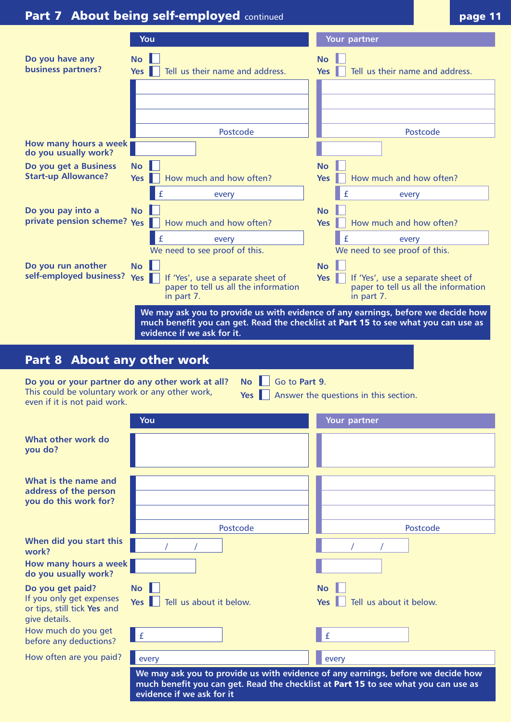|                                                                                                                                     | <b>Part 7 About being self-employed continued</b>                                                                  | page 11                                                                                                                                                                |
|-------------------------------------------------------------------------------------------------------------------------------------|--------------------------------------------------------------------------------------------------------------------|------------------------------------------------------------------------------------------------------------------------------------------------------------------------|
|                                                                                                                                     | You                                                                                                                | Your partner                                                                                                                                                           |
| Do you have any<br>business partners?                                                                                               | <b>No</b><br>Tell us their name and address.<br>Yes I                                                              | <b>No</b><br>Tell us their name and address.<br><b>Yes</b>                                                                                                             |
|                                                                                                                                     | Postcode                                                                                                           | Postcode                                                                                                                                                               |
| How many hours a week<br>do you usually work?                                                                                       |                                                                                                                    |                                                                                                                                                                        |
| Do you get a Business<br><b>Start-up Allowance?</b>                                                                                 | <b>No</b><br>How much and how often?<br><b>Yes</b>                                                                 | No<br>How much and how often?<br>Yes                                                                                                                                   |
| Do you pay into a<br>private pension scheme? Yes                                                                                    | every<br><b>No</b><br>How much and how often?                                                                      | every<br><b>No</b><br>How much and how often?<br>Yes                                                                                                                   |
|                                                                                                                                     | £<br>every<br>We need to see proof of this.                                                                        | £<br>every<br>We need to see proof of this.                                                                                                                            |
| Do you run another<br>self-employed business?                                                                                       | <b>No</b><br>Yes $\ \ $<br>If 'Yes', use a separate sheet of<br>paper to tell us all the information<br>in part 7. | <b>No</b><br>Yes<br>If 'Yes', use a separate sheet of<br>paper to tell us all the information<br>in part 7.                                                            |
| Part 8 About any other work                                                                                                         | evidence if we ask for it.                                                                                         | much benefit you can get. Read the checklist at Part 15 to see what you can use as                                                                                     |
| Do you or your partner do any other work at all?<br>This could be voluntary work or any other work,<br>even if it is not paid work. | Go to Part 9.<br>$\overline{N}$                                                                                    | Yes Answer the questions in this section.                                                                                                                              |
|                                                                                                                                     | You                                                                                                                | Your partner                                                                                                                                                           |
| What other work do<br>you do?                                                                                                       |                                                                                                                    |                                                                                                                                                                        |
| What is the name and<br>address of the person<br>you do this work for?                                                              |                                                                                                                    |                                                                                                                                                                        |
| When did you start this                                                                                                             | Postcode                                                                                                           | Postcode                                                                                                                                                               |
| work?                                                                                                                               |                                                                                                                    |                                                                                                                                                                        |
| How many hours a week<br>do you usually work?                                                                                       |                                                                                                                    |                                                                                                                                                                        |
| Do you get paid?<br>If you only get expenses<br>or tips, still tick Yes and<br>give details.                                        | <b>No</b><br>Tell us about it below.<br>$Yes \parallel$                                                            | <b>No</b><br>Tell us about it below.<br><b>Yes</b>                                                                                                                     |
| How much do you get<br>before any deductions?                                                                                       | $\pmb{\mathrm{f}}$                                                                                                 | £                                                                                                                                                                      |
| How often are you paid?                                                                                                             | every                                                                                                              | every                                                                                                                                                                  |
|                                                                                                                                     | evidence if we ask for it                                                                                          | We may ask you to provide us with evidence of any earnings, before we decide how<br>much benefit you can get. Read the checklist at Part 15 to see what you can use as |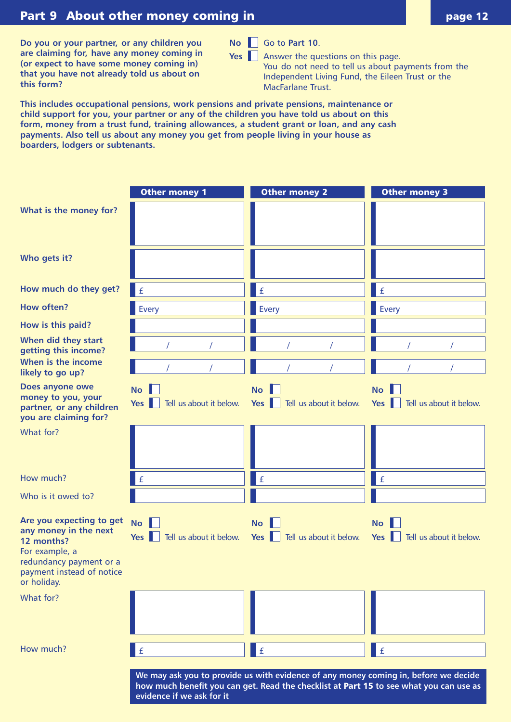# **Part 9 About other money coming in**

**Do you or your partner, or any children you are claiming for, have any money coming in (or expect to have some money coming in) that you have not already told us about on this form?**

**No** Go to **Part 10**.

**Yes** Answer the questions on this page.

You do not need to tell us about payments from the Independent Living Fund, the Eileen Trust or the MacFarlane Trust.

**This includes occupational pensions, work pensions and private pensions, maintenance or child support for you, your partner or any of the children you have told us about on this form, money from a trust fund, training allowances, a student grant or loan, and any cash payments. Also tell us about any money you get from people living in your house as boarders, lodgers or subtenants.** 

|                                                                                                                                                          | <b>Other money 1</b>                           | <b>Other money 2</b>                                                                                                                                                          | Other money 3                                    |
|----------------------------------------------------------------------------------------------------------------------------------------------------------|------------------------------------------------|-------------------------------------------------------------------------------------------------------------------------------------------------------------------------------|--------------------------------------------------|
| What is the money for?                                                                                                                                   |                                                |                                                                                                                                                                               |                                                  |
| Who gets it?                                                                                                                                             |                                                |                                                                                                                                                                               |                                                  |
| How much do they get?                                                                                                                                    | $\mathbf f$                                    | $\pmb{\mathtt{f}}$                                                                                                                                                            | $\pmb{\mathrm{f}}$                               |
| <b>How often?</b>                                                                                                                                        | <b>Every</b>                                   | Every                                                                                                                                                                         | Every                                            |
| How is this paid?                                                                                                                                        |                                                |                                                                                                                                                                               |                                                  |
| When did they start<br>getting this income?                                                                                                              |                                                |                                                                                                                                                                               |                                                  |
| When is the income<br>likely to go up?                                                                                                                   |                                                |                                                                                                                                                                               |                                                  |
| Does anyone owe<br>money to you, your<br>partner, or any children<br>you are claiming for?                                                               | <b>No</b><br>Tell us about it below.<br>Yes    | <b>No</b><br>Tell us about it below.<br>Yes                                                                                                                                   | <b>No</b><br>Tell us about it below.<br>Yes $\ $ |
| What for?                                                                                                                                                |                                                |                                                                                                                                                                               |                                                  |
| How much?                                                                                                                                                | £                                              | $\pmb{\mathrm{f}}$                                                                                                                                                            | $\pmb{\mathrm{f}}$                               |
| Who is it owed to?                                                                                                                                       |                                                |                                                                                                                                                                               |                                                  |
| Are you expecting to get<br>any money in the next<br>12 months?<br>For example, a<br>redundancy payment or a<br>payment instead of notice<br>or holiday. | <b>No</b><br>Tell us about it below.<br>Yes II | <b>No</b><br>Tell us about it below.<br>$Yes \parallel$                                                                                                                       | <b>No</b><br>Tell us about it below.<br>Yes      |
| What for?                                                                                                                                                |                                                |                                                                                                                                                                               |                                                  |
| How much?                                                                                                                                                | $\pmb{\mathsf{f}}$                             | $\pmb{\mathtt{f}}$                                                                                                                                                            | $\pmb{\mathrm{f}}$                               |
|                                                                                                                                                          |                                                | We may ask you to provide us with evidence of any money coming in, before we decide<br>how much benefit you can get. Read the checklist at Part 15 to see what you can use as |                                                  |

**evidence if we ask for it**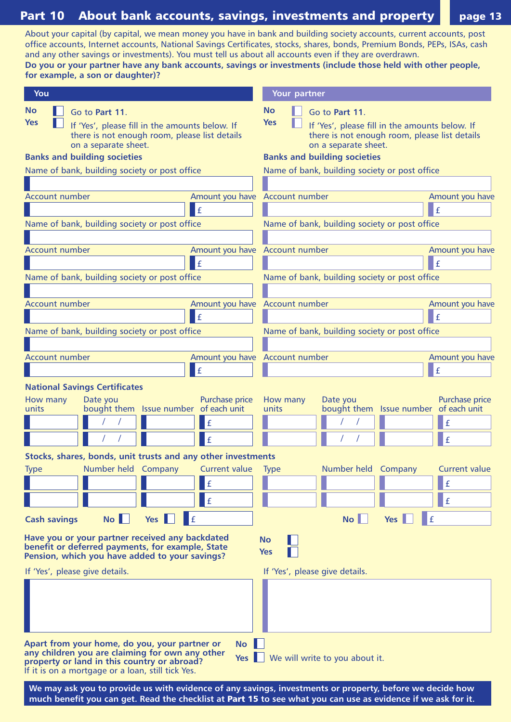**Part 10 About bank accounts, savings, investments and property page 13** About your capital (by capital, we mean money you have in bank and building society accounts, current accounts, post office accounts, Internet accounts, National Savings Certificates, stocks, shares, bonds, Premium Bonds, PEPs, ISAs, cash and any other savings or investments). You must tell us about all accounts even if they are overdrawn. **Do you or your partner have any bank accounts, savings or investments (include those held with other people, for example, a son or daughter)? Have you or your partner received any backdated benefit or deferred payments, for example, State Pension, which you have added to your savings? You Your partner** £ **No Yes No Yes No Yes** If 'Yes', please fill in the amounts below. If there is not enough room, please list details on a separate sheet. Go to **Part 11**. Go to **Part 11**. If 'Yes', please fill in the amounts below. If there is not enough room, please list details on a separate sheet. Name of bank, building society or post office Account number Amount you have £ Name of bank, building society or post office Account number Amount you have £ Name of bank, building society or post office Account number **Amount you have Account number** Amount you have £ Name of bank, building society or post office £ Name of bank, building society or post office Account number Amount you have £ Name of bank, building society or post office Account number Amount you have / / **| |** | | | <u>|</u> | <u>|</u> £ Name of bank, building society or post office Account number and a series are allows the Amount you have Account number and a series are all all Amount you have £ Name of bank, building society or post office **Banks and building societies National Savings Certificates Banks and building societies** How many units Date you bought them Issue number of each unit Purchase price / / | | | | <u>| | |</u> / / £ / / £ How many units Date you bought them Purchase price Issue number of each unit £ **Stocks, shares, bonds, unit trusts and any other investments Cash savings No Yes** Type If 'Yes', please give details. If 'Yes', please give details. Number held Company Current value Type Number held Company Current value £ £ £ **No Yes** £ £

**Apart from your home, do you, your partner or any children you are claiming for own any other property or land in this country or abroad?** If it is on a mortgage or a loan, still tick Yes.

**Yes** We will write to you about it.

**We may ask you to provide us with evidence of any savings, investments or property, before we decide how much benefit you can get. Read the checklist at Part 15 to see what you can use as evidence if we ask for it.** 

**No**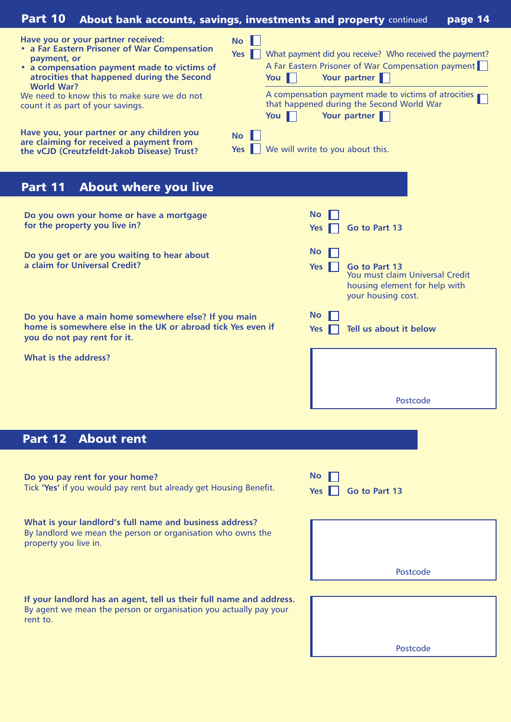| <b>Part 10</b>                   | <b>About bank accounts, savings, investments and property continued</b>                                                                                                                                                                                             |                  |                 |                         |                                                                                                                                                                                                                                                    | page 14 |
|----------------------------------|---------------------------------------------------------------------------------------------------------------------------------------------------------------------------------------------------------------------------------------------------------------------|------------------|-----------------|-------------------------|----------------------------------------------------------------------------------------------------------------------------------------------------------------------------------------------------------------------------------------------------|---------|
| payment, or<br><b>World War?</b> | Have you or your partner received:<br>• a Far Eastern Prisoner of War Compensation<br>• a compensation payment made to victims of<br>atrocities that happened during the Second<br>We need to know this to make sure we do not<br>count it as part of your savings. | <b>No</b><br>Yes | You $\ $<br>You |                         | What payment did you receive? Who received the payment?<br>A Far Eastern Prisoner of War Compensation payment<br>Your partner<br>A compensation payment made to victims of atrocities<br>that happened during the Second World War<br>Your partner |         |
|                                  | Have you, your partner or any children you<br>are claiming for received a payment from<br>the vCJD (Creutzfeldt-Jakob Disease) Trust?                                                                                                                               | <b>No</b><br>Yes |                 |                         | We will write to you about this.                                                                                                                                                                                                                   |         |
| Part 11                          | <b>About where you live</b>                                                                                                                                                                                                                                         |                  |                 |                         |                                                                                                                                                                                                                                                    |         |
|                                  | Do you own your home or have a mortgage<br>for the property you live in?                                                                                                                                                                                            |                  |                 | <b>No</b><br><b>Yes</b> | Go to Part 13                                                                                                                                                                                                                                      |         |
|                                  | Do you get or are you waiting to hear about<br>a claim for Universal Credit?                                                                                                                                                                                        |                  |                 | <b>No</b><br>Yes I      | Go to Part 13<br>You must claim Universal Credit<br>housing element for help with<br>your housing cost.                                                                                                                                            |         |
|                                  | Do you have a main home somewhere else? If you main<br>home is somewhere else in the UK or abroad tick Yes even if<br>you do not pay rent for it.                                                                                                                   |                  |                 | <b>No</b><br><b>Yes</b> | Tell us about it below                                                                                                                                                                                                                             |         |
| What is the address?             |                                                                                                                                                                                                                                                                     |                  |                 |                         |                                                                                                                                                                                                                                                    |         |
|                                  |                                                                                                                                                                                                                                                                     |                  |                 |                         | Postcode                                                                                                                                                                                                                                           |         |
|                                  |                                                                                                                                                                                                                                                                     |                  |                 |                         |                                                                                                                                                                                                                                                    |         |
|                                  | <b>Part 12 About rent</b>                                                                                                                                                                                                                                           |                  |                 |                         |                                                                                                                                                                                                                                                    |         |
|                                  | Do you pay rent for your home?<br>Tick 'Yes' if you would pay rent but already get Housing Benefit.                                                                                                                                                                 |                  |                 | <b>No</b><br><b>Yes</b> | Go to Part 13                                                                                                                                                                                                                                      |         |
| property you live in.            | What is your landlord's full name and business address?<br>By landlord we mean the person or organisation who owns the                                                                                                                                              |                  |                 |                         |                                                                                                                                                                                                                                                    |         |
|                                  |                                                                                                                                                                                                                                                                     |                  |                 |                         | Postcode                                                                                                                                                                                                                                           |         |
| rent to.                         | If your landlord has an agent, tell us their full name and address.<br>By agent we mean the person or organisation you actually pay your                                                                                                                            |                  |                 |                         | Postcode                                                                                                                                                                                                                                           |         |
|                                  |                                                                                                                                                                                                                                                                     |                  |                 |                         |                                                                                                                                                                                                                                                    |         |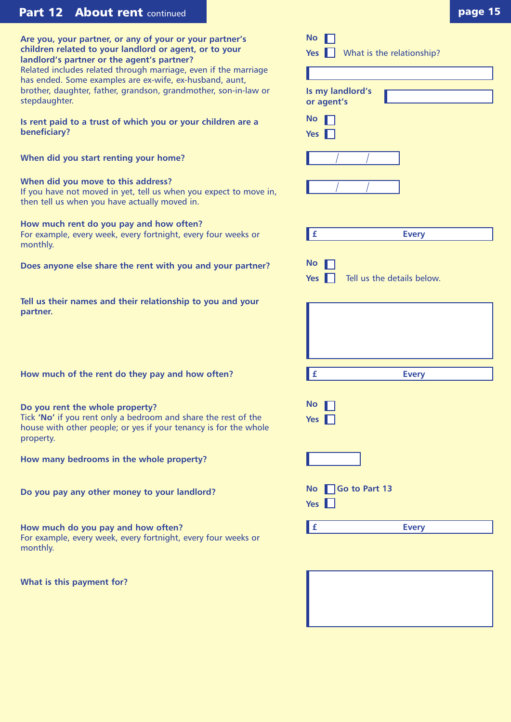# **Part 12 About rent** continued **page 15 page 15**

**Are you, your partner, or any of your or your partner's children related to your landlord or agent, or to your landlord's partner or the agent's partner?** Related includes related through marriage, even if the marriage has ended. Some examples are ex-wife, ex-husband, aunt, brother, daughter, father, grandson, grandmother, son-in-law or stepdaughter.

**Is rent paid to a trust of which you or your children are a beneficiary?**

**When did you start renting your home?**

## **When did you move to this address?**

If you have not moved in yet, tell us when you expect to move in, then tell us when you have actually moved in.

# **How much rent do you pay and how often?**

For example, every week, every fortnight, every four weeks or monthly.

**Does anyone else share the rent with you and your partner?**

**Tell us their names and their relationship to you and your partner.**

**How much of the rent do they pay and how often? £**

## **Do you rent the whole property?**

Tick **'No'** if you rent only a bedroom and share the rest of the house with other people; or yes if your tenancy is for the whole property.

**How many bedrooms in the whole property?**

**Do you pay any other money to your landlord?** 

**How much do you pay and how often?** For example, every week, every fortnight, every four weeks or monthly.

**What is this payment for?**

| $\mathsf{No}$ $\Box$ |                                      |
|----------------------|--------------------------------------|
|                      | Yes $\Box$ What is the relationship? |
|                      |                                      |

| Is my landlord's<br>or agent's                        |
|-------------------------------------------------------|
| <b>No</b>                                             |
| <b>Yes</b>                                            |
|                                                       |
|                                                       |
|                                                       |
| $\pmb{\mathsf{f}}$<br><b>Every</b>                    |
| <b>No</b><br>Tell us the details below.<br><b>Yes</b> |
|                                                       |
| £<br><b>Every</b>                                     |
| <b>No</b><br><b>Yes</b>                               |
|                                                       |
| No Go to Part 13<br>Yes $\Box$                        |
| <b>Every</b><br>£                                     |
|                                                       |

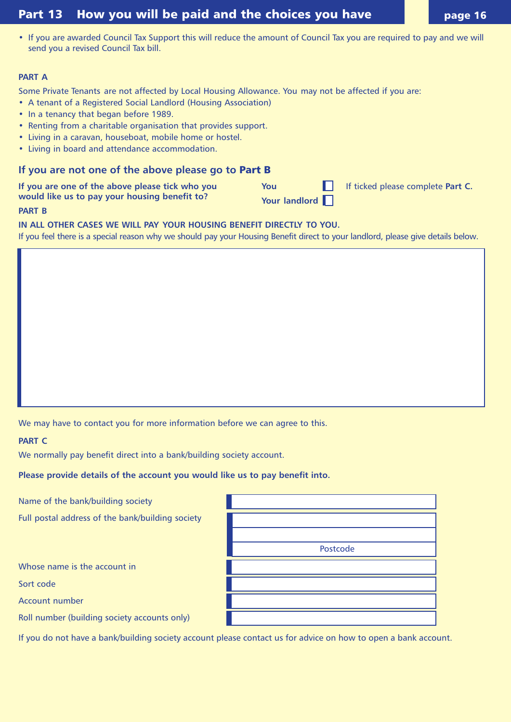# **Part 13 How you will be paid and the choices you have <b>Figure** 16

• If you are awarded Council Tax Support this will reduce the amount of Council Tax you are required to pay and we will send you a revised Council Tax bill.

#### **PART A**

Some Private Tenants are not affected by Local Housing Allowance. You may not be affected if you are:

- A tenant of a Registered Social Landlord (Housing Association)
- In a tenancy that began before 1989.
- Renting from a charitable organisation that provides support.
- Living in a caravan, houseboat, mobile home or hostel.
- Living in board and attendance accommodation.

### **If you are not one of the above please go to Part B**

If you are one of the above please tick who you **You** You If ticked please complete Part C. **would like us to pay your housing benefit to?** Your landlord **PART B**

**IN ALL OTHER CASES WE WILL PAY YOUR HOUSING BENEFIT DIRECTLY TO YOU.**

If you feel there is a special reason why we should pay your Housing Benefit direct to your landlord, please give details below.

We may have to contact you for more information before we can agree to this.

**PART C**

We normally pay benefit direct into a bank/building society account.

**Please provide details of the account you would like us to pay benefit into.**

Name of the bank/building society

Full postal address of the bank/building society

Whose name is the account in

Sort code

Account number

Roll number (building society accounts only)

If you do not have a bank/building society account please contact us for advice on how to open a bank account.

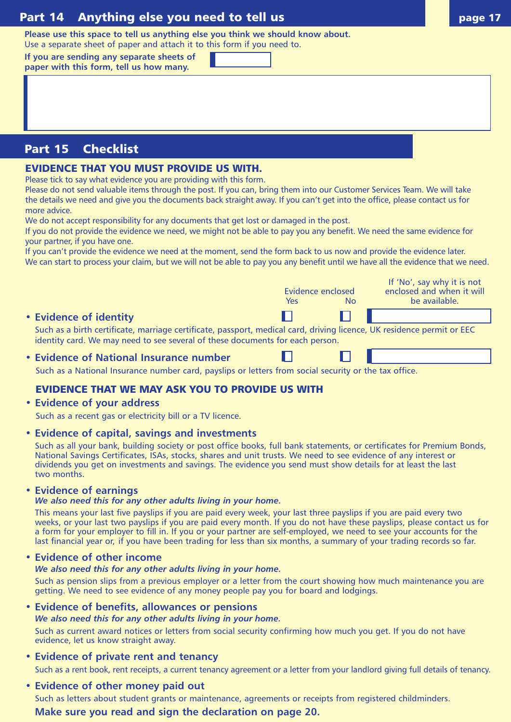# **Part 14 Anything else you need to tell us and the state of the state of the page 17**

**Please use this space to tell us anything else you think we should know about.** 

Use a separate sheet of paper and attach it to this form if you need to. **If you are sending any separate sheets of paper with this form, tell us how many.**

**Part 15 Checklist**

## **EVIDENCE THAT YOU MUST PROVIDE US WITH.**

Please tick to say what evidence you are providing with this form.

Please do not send valuable items through the post. If you can, bring them into our Customer Services Team. We will take the details we need and give you the documents back straight away. If you can't get into the office, please contact us for more advice.

We do not accept responsibility for any documents that get lost or damaged in the post.

If you do not provide the evidence we need, we might not be able to pay you any benefit. We need the same evidence for your partner, if you have one.

If you can't provide the evidence we need at the moment, send the form back to us now and provide the evidence later. We can start to process your claim, but we will not be able to pay you any benefit until we have all the evidence that we need.

|                                                                                                                                                                                                         | Evidence enclosed |           | If 'No', say why it is not<br>enclosed and when it will |
|---------------------------------------------------------------------------------------------------------------------------------------------------------------------------------------------------------|-------------------|-----------|---------------------------------------------------------|
|                                                                                                                                                                                                         | <b>Yes</b>        | <b>No</b> | be available.                                           |
| • Evidence of identity                                                                                                                                                                                  |                   |           |                                                         |
| Such as a birth certificate, marriage certificate, passport, medical card, driving licence, UK residence permit or EEC<br>identity card. We may need to see several of these documents for each person. |                   |           |                                                         |
| • Evidence of National Insurance number                                                                                                                                                                 |                   |           |                                                         |

#### **• Evidence of National Insurance number**

Such as a National Insurance number card, payslips or letters from social security or the tax office.

## **EVIDENCE THAT WE MAY ASK YOU TO PROVIDE US WITH**

#### **• Evidence of your address**

Such as a recent gas or electricity bill or a TV licence.

#### **• Evidence of capital, savings and investments**

Such as all your bank, building society or post office books, full bank statements, or certificates for Premium Bonds, National Savings Certificates, ISAs, stocks, shares and unit trusts. We need to see evidence of any interest or dividends you get on investments and savings. The evidence you send must show details for at least the last two months.

#### **• Evidence of earnings**

#### *We also need this for any other adults living in your home.*

This means your last five payslips if you are paid every week, your last three payslips if you are paid every two weeks, or your last two payslips if you are paid every month. If you do not have these payslips, please contact us for a form for your employer to fill in. If you or your partner are self-employed, we need to see your accounts for the last financial year or, if you have been trading for less than six months, a summary of your trading records so far.

#### **• Evidence of other income**

#### *We also need this for any other adults living in your home.*

Such as pension slips from a previous employer or a letter from the court showing how much maintenance you are getting. We need to see evidence of any money people pay you for board and lodgings.

**• Evidence of benefits, allowances or pensions**

#### *We also need this for any other adults living in your home.*

Such as current award notices or letters from social security confirming how much you get. If you do not have evidence, let us know straight away.

- **Evidence of private rent and tenancy** Such as a rent book, rent receipts, a current tenancy agreement or a letter from your landlord giving full details of tenancy.
- **Evidence of other money paid out** Such as letters about student grants or maintenance, agreements or receipts from registered childminders. **Make sure you read and sign the declaration on page 20.**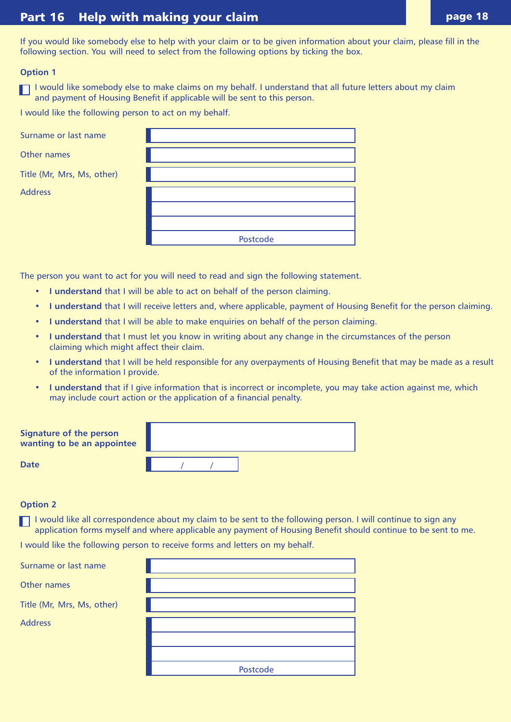# Part 16 Help with making your claim **page 18** Part 16 Page 18

If you would like somebody else to help with your claim or to be given information about your claim, please fill in the following section. You will need to select from the following options by ticking the box.

#### **Option 1**

I would like somebody else to make claims on my behalf. I understand that all future letters about my claim and payment of Housing Benefit if applicable will be sent to this person.

I would like the following person to act on my behalf.

| Surname or last name       |          |
|----------------------------|----------|
| Other names                |          |
| Title (Mr, Mrs, Ms, other) |          |
| <b>Address</b>             |          |
|                            |          |
|                            |          |
|                            | Postcode |

The person you want to act for you will need to read and sign the following statement.

- **I understand** that I will be able to act on behalf of the person claiming.
- **I understand** that I will receive letters and, where applicable, payment of Housing Benefit for the person claiming.
- **I understand** that I will be able to make enquiries on behalf of the person claiming.
- **I understand** that I must let you know in writing about any change in the circumstances of the person claiming which might affect their claim.
- **I understand** that I will be held responsible for any overpayments of Housing Benefit that may be made as a result of the information I provide.
- **I understand** that if I give information that is incorrect or incomplete, you may take action against me, which may include court action or the application of a financial penalty.

| Signature of the person<br>wanting to be an appointee |  |  |  |
|-------------------------------------------------------|--|--|--|
| <b>Date</b>                                           |  |  |  |

#### **Option 2**

I would like all correspondence about my claim to be sent to the following person. I will continue to sign any application forms myself and where applicable any payment of Housing Benefit should continue to be sent to me.

I would like the following person to receive forms and letters on my behalf.

| Surname or last name       |          |
|----------------------------|----------|
| Other names                |          |
| Title (Mr, Mrs, Ms, other) |          |
| <b>Address</b>             |          |
|                            |          |
|                            |          |
|                            | Postcode |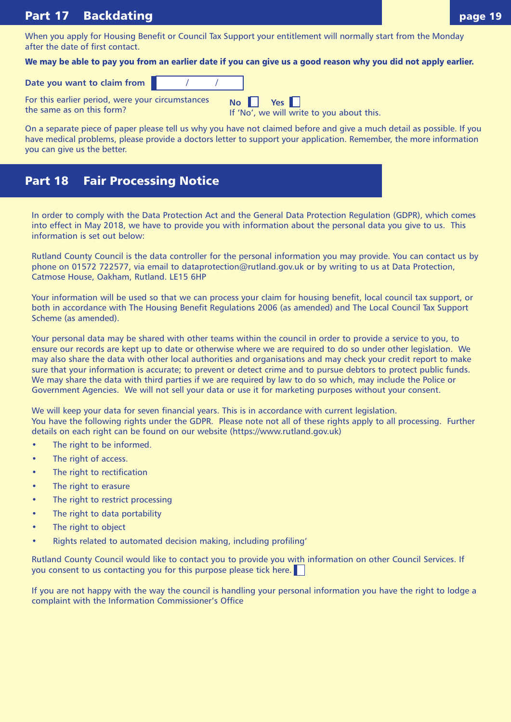#### **Part 17 Backdating**

When you apply for Housing Benefit or Council Tax Support your entitlement will normally start from the Monday after the date of first contact.

**We may be able to pay you from an earlier date if you can give us a good reason why you did not apply earlier.**

**No**

**Date you want to claim from** 

For this earlier period, were your circumstances the same as on this form?

If 'No', we will write to you about this.

**Yes** 

On a separate piece of paper please tell us why you have not claimed before and give a much detail as possible. If you have medical problems, please provide a doctors letter to support your application. Remember, the more information you can give us the better.

# **Part 18 Fair Processing Notice**

In order to comply with the Data Protection Act and the General Data Protection Regulation (GDPR), which comes into effect in May 2018, we have to provide you with information about the personal data you give to us. This information is set out below:

Rutland County Council is the data controller for the personal information you may provide. You can contact us by phone on 01572 722577, via email to dataprotection@rutland.gov.uk or by writing to us at Data Protection, Catmose House, Oakham, Rutland. LE15 6HP

Your information will be used so that we can process your claim for housing benefit, local council tax support, or both in accordance with The Housing Benefit Regulations 2006 (as amended) and The Local Council Tax Support Scheme (as amended).

Your personal data may be shared with other teams within the council in order to provide a service to you, to ensure our records are kept up to date or otherwise where we are required to do so under other legislation. We may also share the data with other local authorities and organisations and may check your credit report to make sure that your information is accurate; to prevent or detect crime and to pursue debtors to protect public funds. We may share the data with third parties if we are required by law to do so which, may include the Police or Government Agencies. We will not sell your data or use it for marketing purposes without your consent.

We will keep your data for seven financial years. This is in accordance with current legislation. You have the following rights under the GDPR. Please note not all of these rights apply to all processing. Further details on each right can be found on our website (https://www.rutland.gov.uk)

- The right to be informed.
- The right of access.
- The right to rectification
- The right to erasure
- The right to restrict processing
- The right to data portability
- The right to object
- Rights related to automated decision making, including profiling'

Rutland County Council would like to contact you to provide you with information on other Council Services. If you consent to us contacting you for this purpose please tick here.

If you are not happy with the way the council is handling your personal information you have the right to lodge a complaint with the Information Commissioner's Office